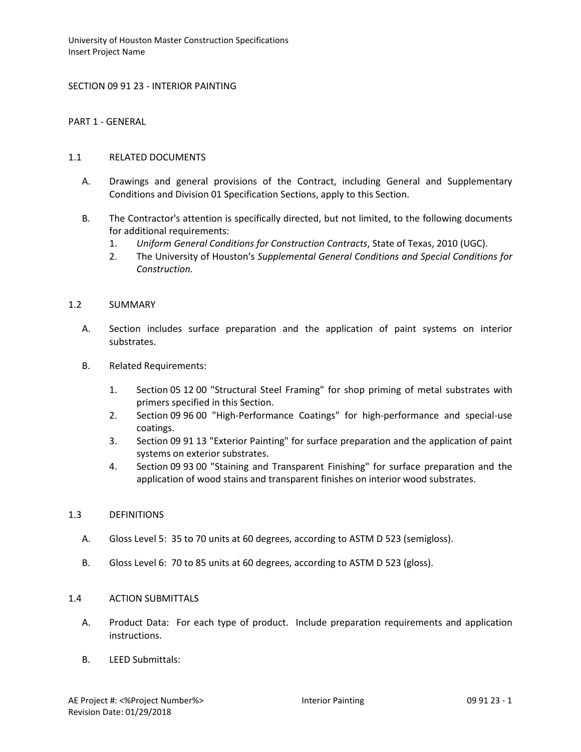SECTION 09 91 23 - INTERIOR PAINTING

PART 1 - GENERAL

### 1.1 RELATED DOCUMENTS

- A. Drawings and general provisions of the Contract, including General and Supplementary Conditions and Division 01 Specification Sections, apply to this Section.
- B. The Contractor's attention is specifically directed, but not limited, to the following documents for additional requirements:
	- 1. *Uniform General Conditions for Construction Contracts*, State of Texas, 2010 (UGC).
	- 2. The University of Houston's *Supplemental General Conditions and Special Conditions for Construction.*

### 1.2 SUMMARY

- A. Section includes surface preparation and the application of paint systems on interior substrates.
- B. Related Requirements:
	- 1. Section 05 12 00 "Structural Steel Framing" for shop priming of metal substrates with primers specified in this Section.
	- 2. Section 09 96 00 "High-Performance Coatings" for high-performance and special-use coatings.
	- 3. Section 09 91 13 "Exterior Painting" for surface preparation and the application of paint systems on exterior substrates.
	- 4. Section 09 93 00 "Staining and Transparent Finishing" for surface preparation and the application of wood stains and transparent finishes on interior wood substrates.

#### 1.3 DEFINITIONS

- A. Gloss Level 5: 35 to 70 units at 60 degrees, according to ASTM D 523 (semigloss).
- B. Gloss Level 6: 70 to 85 units at 60 degrees, according to ASTM D 523 (gloss).

#### 1.4 ACTION SUBMITTALS

- A. Product Data: For each type of product. Include preparation requirements and application instructions.
- B. LEED Submittals: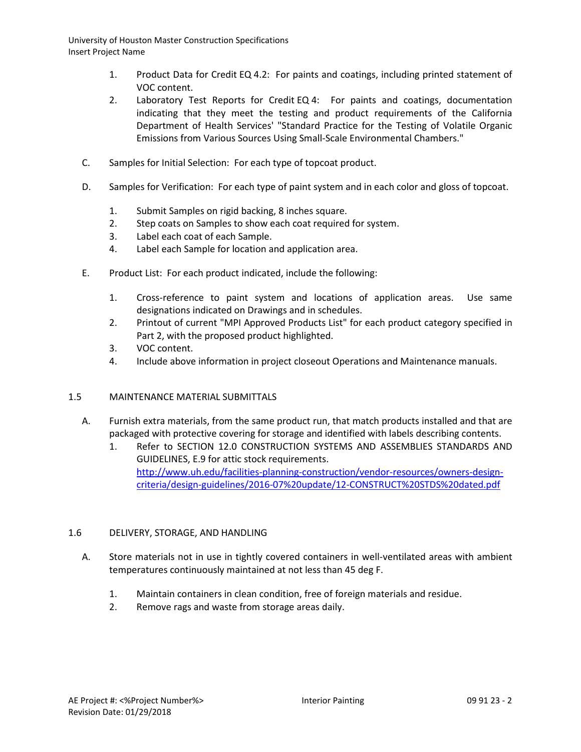- 1. Product Data for Credit EQ 4.2: For paints and coatings, including printed statement of VOC content.
- 2. Laboratory Test Reports for Credit EQ 4: For paints and coatings, documentation indicating that they meet the testing and product requirements of the California Department of Health Services' "Standard Practice for the Testing of Volatile Organic Emissions from Various Sources Using Small-Scale Environmental Chambers."
- C. Samples for Initial Selection: For each type of topcoat product.
- D. Samples for Verification: For each type of paint system and in each color and gloss of topcoat.
	- 1. Submit Samples on rigid backing, 8 inches square.
	- 2. Step coats on Samples to show each coat required for system.
	- 3. Label each coat of each Sample.
	- 4. Label each Sample for location and application area.
- E. Product List: For each product indicated, include the following:
	- 1. Cross-reference to paint system and locations of application areas. Use same designations indicated on Drawings and in schedules.
	- 2. Printout of current "MPI Approved Products List" for each product category specified in Part 2, with the proposed product highlighted.
	- 3. VOC content.
	- 4. Include above information in project closeout Operations and Maintenance manuals.

# 1.5 MAINTENANCE MATERIAL SUBMITTALS

- A. Furnish extra materials, from the same product run, that match products installed and that are packaged with protective covering for storage and identified with labels describing contents.
	- 1. Refer to SECTION 12.0 CONSTRUCTION SYSTEMS AND ASSEMBLIES STANDARDS AND GUIDELINES, E.9 for attic stock requirements. [http://www.uh.edu/facilities-planning-construction/vendor-resources/owners-design](http://www.uh.edu/facilities-planning-construction/vendor-resources/owners-design-criteria/design-guidelines/2016-07%20update/12-CONSTRUCT%20STDS%20dated.pdf)[criteria/design-guidelines/2016-07%20update/12-CONSTRUCT%20STDS%20dated.pdf](http://www.uh.edu/facilities-planning-construction/vendor-resources/owners-design-criteria/design-guidelines/2016-07%20update/12-CONSTRUCT%20STDS%20dated.pdf)

# 1.6 DELIVERY, STORAGE, AND HANDLING

- A. Store materials not in use in tightly covered containers in well-ventilated areas with ambient temperatures continuously maintained at not less than 45 deg F.
	- 1. Maintain containers in clean condition, free of foreign materials and residue.
	- 2. Remove rags and waste from storage areas daily.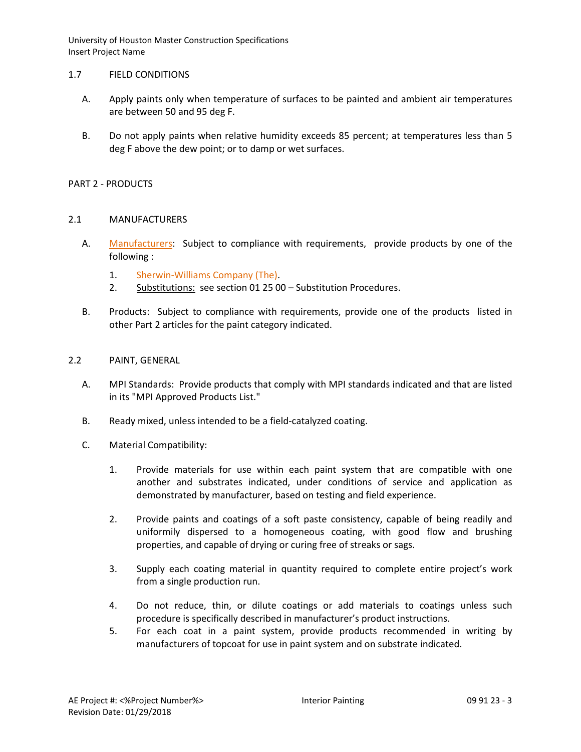### 1.7 FIELD CONDITIONS

- A. Apply paints only when temperature of surfaces to be painted and ambient air temperatures are between 50 and 95 deg F.
- B. Do not apply paints when relative humidity exceeds 85 percent; at temperatures less than 5 deg F above the dew point; or to damp or wet surfaces.

### PART 2 - PRODUCTS

### 2.1 MANUFACTURERS

- A. [Manufacturers:](http://www.specagent.com/LookUp/?ulid=544&mf=04&src=wd) Subject to compliance with requirements, provide products by one of the following :
	- 1. [Sherwin-Williams Company \(The\).](http://www.specagent.com/LookUp/?uid=123456815224&mf=04&src=wd)
	- 2. Substitutions: see section 01 25 00 Substitution Procedures.
- B. Products: Subject to compliance with requirements, provide one of the products listed in other Part 2 articles for the paint category indicated.

# 2.2 PAINT, GENERAL

- A. MPI Standards: Provide products that comply with MPI standards indicated and that are listed in its "MPI Approved Products List."
- B. Ready mixed, unless intended to be a field-catalyzed coating.
- C. Material Compatibility:
	- 1. Provide materials for use within each paint system that are compatible with one another and substrates indicated, under conditions of service and application as demonstrated by manufacturer, based on testing and field experience.
	- 2. Provide paints and coatings of a soft paste consistency, capable of being readily and uniformily dispersed to a homogeneous coating, with good flow and brushing properties, and capable of drying or curing free of streaks or sags.
	- 3. Supply each coating material in quantity required to complete entire project's work from a single production run.
	- 4. Do not reduce, thin, or dilute coatings or add materials to coatings unless such procedure is specifically described in manufacturer's product instructions.
	- 5. For each coat in a paint system, provide products recommended in writing by manufacturers of topcoat for use in paint system and on substrate indicated.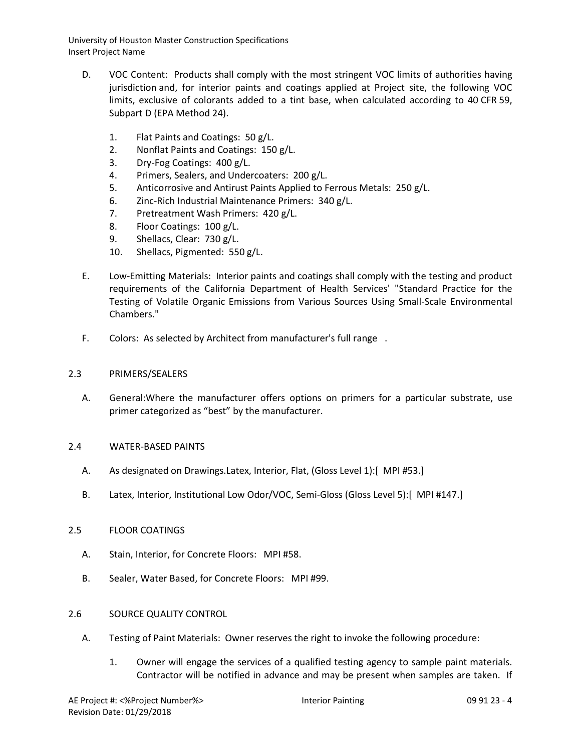- D. VOC Content: Products shall comply with the most stringent VOC limits of authorities having jurisdiction and, for interior paints and coatings applied at Project site, the following VOC limits, exclusive of colorants added to a tint base, when calculated according to 40 CFR 59, Subpart D (EPA Method 24).
	- 1. Flat Paints and Coatings: 50 g/L.
	- 2. Nonflat Paints and Coatings: 150 g/L.
	- 3. Dry-Fog Coatings: 400 g/L.
	- 4. Primers, Sealers, and Undercoaters: 200 g/L.
	- 5. Anticorrosive and Antirust Paints Applied to Ferrous Metals: 250 g/L.
	- 6. Zinc-Rich Industrial Maintenance Primers: 340 g/L.
	- 7. Pretreatment Wash Primers: 420 g/L.
	- 8. Floor Coatings: 100 g/L.
	- 9. Shellacs, Clear: 730 g/L.
	- 10. Shellacs, Pigmented: 550 g/L.
- E. Low-Emitting Materials: Interior paints and coatings shall comply with the testing and product requirements of the California Department of Health Services' "Standard Practice for the Testing of Volatile Organic Emissions from Various Sources Using Small-Scale Environmental Chambers."
- F. Colors: As selected by Architect from manufacturer's full range .

### 2.3 PRIMERS/SEALERS

A. General:Where the manufacturer offers options on primers for a particular substrate, use primer categorized as "best" by the manufacturer.

#### 2.4 WATER-BASED PAINTS

- A. As designated on Drawings.Latex, Interior, Flat, (Gloss Level 1):[ MPI #53.]
- B. Latex, Interior, Institutional Low Odor/VOC, Semi-Gloss (Gloss Level 5):[ MPI #147.]

### 2.5 FLOOR COATINGS

- A. Stain, Interior, for Concrete Floors: MPI #58.
- B. Sealer, Water Based, for Concrete Floors: MPI #99.

# 2.6 SOURCE QUALITY CONTROL

- A. Testing of Paint Materials: Owner reserves the right to invoke the following procedure:
	- 1. Owner will engage the services of a qualified testing agency to sample paint materials. Contractor will be notified in advance and may be present when samples are taken. If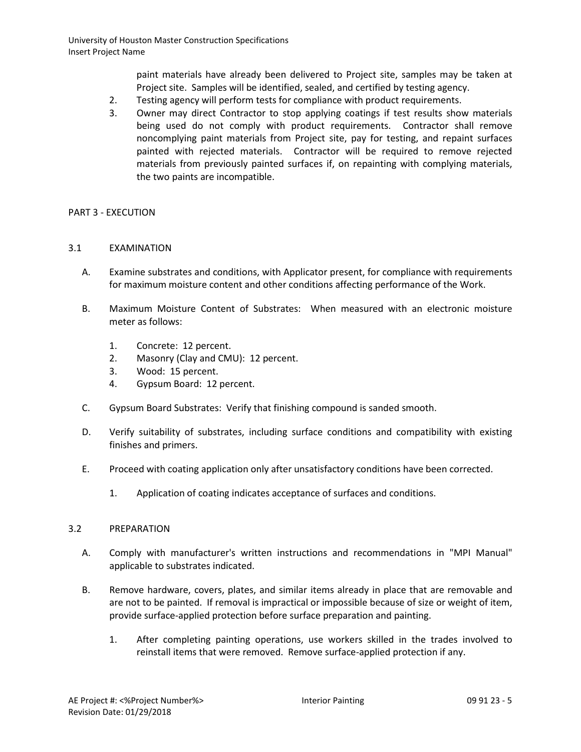paint materials have already been delivered to Project site, samples may be taken at Project site. Samples will be identified, sealed, and certified by testing agency.

- 2. Testing agency will perform tests for compliance with product requirements.
- 3. Owner may direct Contractor to stop applying coatings if test results show materials being used do not comply with product requirements. Contractor shall remove noncomplying paint materials from Project site, pay for testing, and repaint surfaces painted with rejected materials. Contractor will be required to remove rejected materials from previously painted surfaces if, on repainting with complying materials, the two paints are incompatible.

# PART 3 - EXECUTION

### 3.1 EXAMINATION

- A. Examine substrates and conditions, with Applicator present, for compliance with requirements for maximum moisture content and other conditions affecting performance of the Work.
- B. Maximum Moisture Content of Substrates: When measured with an electronic moisture meter as follows:
	- 1. Concrete: 12 percent.
	- 2. Masonry (Clay and CMU): 12 percent.
	- 3. Wood: 15 percent.
	- 4. Gypsum Board: 12 percent.
- C. Gypsum Board Substrates: Verify that finishing compound is sanded smooth.
- D. Verify suitability of substrates, including surface conditions and compatibility with existing finishes and primers.
- E. Proceed with coating application only after unsatisfactory conditions have been corrected.
	- 1. Application of coating indicates acceptance of surfaces and conditions.

#### 3.2 PREPARATION

- A. Comply with manufacturer's written instructions and recommendations in "MPI Manual" applicable to substrates indicated.
- B. Remove hardware, covers, plates, and similar items already in place that are removable and are not to be painted. If removal is impractical or impossible because of size or weight of item, provide surface-applied protection before surface preparation and painting.
	- 1. After completing painting operations, use workers skilled in the trades involved to reinstall items that were removed. Remove surface-applied protection if any.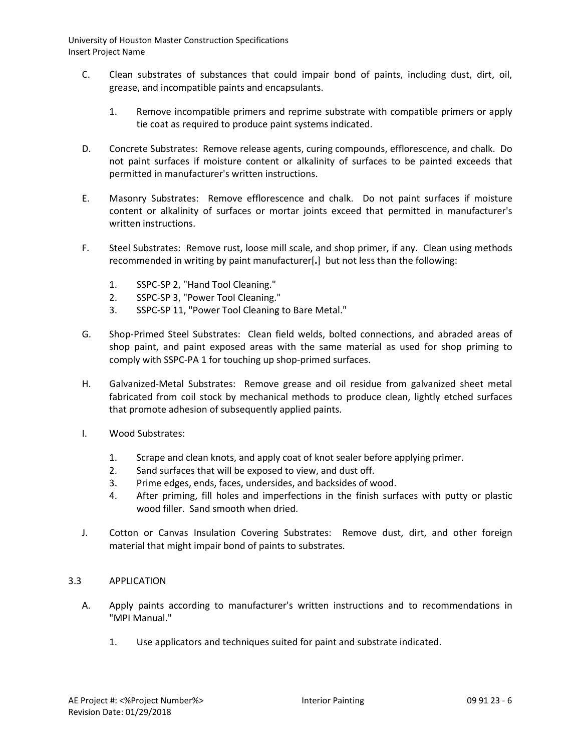- C. Clean substrates of substances that could impair bond of paints, including dust, dirt, oil, grease, and incompatible paints and encapsulants.
	- 1. Remove incompatible primers and reprime substrate with compatible primers or apply tie coat as required to produce paint systems indicated.
- D. Concrete Substrates: Remove release agents, curing compounds, efflorescence, and chalk. Do not paint surfaces if moisture content or alkalinity of surfaces to be painted exceeds that permitted in manufacturer's written instructions.
- E. Masonry Substrates: Remove efflorescence and chalk. Do not paint surfaces if moisture content or alkalinity of surfaces or mortar joints exceed that permitted in manufacturer's written instructions.
- F. Steel Substrates: Remove rust, loose mill scale, and shop primer, if any. Clean using methods recommended in writing by paint manufacturer[**.**] but not less than the following:
	- 1. SSPC-SP 2, "Hand Tool Cleaning."
	- 2. SSPC-SP 3, "Power Tool Cleaning."
	- 3. SSPC-SP 11, "Power Tool Cleaning to Bare Metal."
- G. Shop-Primed Steel Substrates: Clean field welds, bolted connections, and abraded areas of shop paint, and paint exposed areas with the same material as used for shop priming to comply with SSPC-PA 1 for touching up shop-primed surfaces.
- H. Galvanized-Metal Substrates: Remove grease and oil residue from galvanized sheet metal fabricated from coil stock by mechanical methods to produce clean, lightly etched surfaces that promote adhesion of subsequently applied paints.
- I. Wood Substrates:
	- 1. Scrape and clean knots, and apply coat of knot sealer before applying primer.
	- 2. Sand surfaces that will be exposed to view, and dust off.
	- 3. Prime edges, ends, faces, undersides, and backsides of wood.
	- 4. After priming, fill holes and imperfections in the finish surfaces with putty or plastic wood filler. Sand smooth when dried.
- J. Cotton or Canvas Insulation Covering Substrates: Remove dust, dirt, and other foreign material that might impair bond of paints to substrates.

# 3.3 APPLICATION

- A. Apply paints according to manufacturer's written instructions and to recommendations in "MPI Manual."
	- 1. Use applicators and techniques suited for paint and substrate indicated.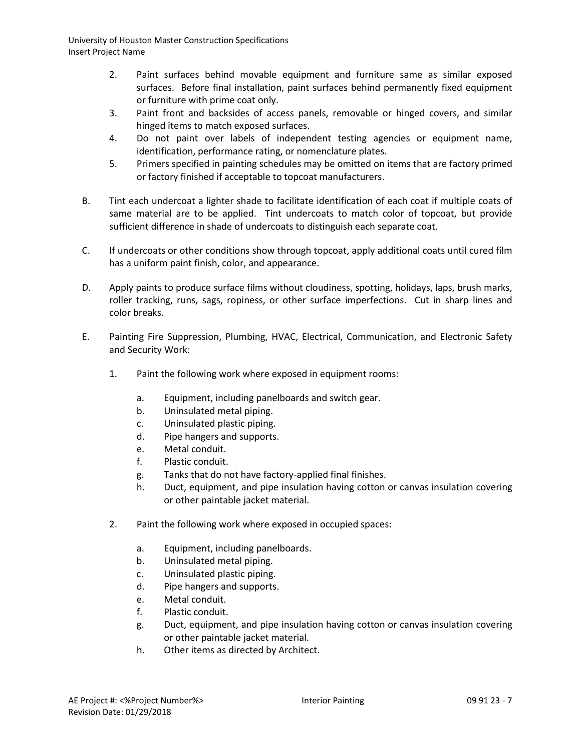- 2. Paint surfaces behind movable equipment and furniture same as similar exposed surfaces. Before final installation, paint surfaces behind permanently fixed equipment or furniture with prime coat only.
- 3. Paint front and backsides of access panels, removable or hinged covers, and similar hinged items to match exposed surfaces.
- 4. Do not paint over labels of independent testing agencies or equipment name, identification, performance rating, or nomenclature plates.
- 5. Primers specified in painting schedules may be omitted on items that are factory primed or factory finished if acceptable to topcoat manufacturers.
- B. Tint each undercoat a lighter shade to facilitate identification of each coat if multiple coats of same material are to be applied. Tint undercoats to match color of topcoat, but provide sufficient difference in shade of undercoats to distinguish each separate coat.
- C. If undercoats or other conditions show through topcoat, apply additional coats until cured film has a uniform paint finish, color, and appearance.
- D. Apply paints to produce surface films without cloudiness, spotting, holidays, laps, brush marks, roller tracking, runs, sags, ropiness, or other surface imperfections. Cut in sharp lines and color breaks.
- E. Painting Fire Suppression, Plumbing, HVAC, Electrical, Communication, and Electronic Safety and Security Work:
	- 1. Paint the following work where exposed in equipment rooms:
		- a. Equipment, including panelboards and switch gear.
		- b. Uninsulated metal piping.
		- c. Uninsulated plastic piping.
		- d. Pipe hangers and supports.
		- e. Metal conduit.
		- f. Plastic conduit.
		- g. Tanks that do not have factory-applied final finishes.
		- h. Duct, equipment, and pipe insulation having cotton or canvas insulation covering or other paintable jacket material.
	- 2. Paint the following work where exposed in occupied spaces:
		- a. Equipment, including panelboards.
		- b. Uninsulated metal piping.
		- c. Uninsulated plastic piping.
		- d. Pipe hangers and supports.
		- e. Metal conduit.
		- f. Plastic conduit.
		- g. Duct, equipment, and pipe insulation having cotton or canvas insulation covering or other paintable jacket material.
		- h. Other items as directed by Architect.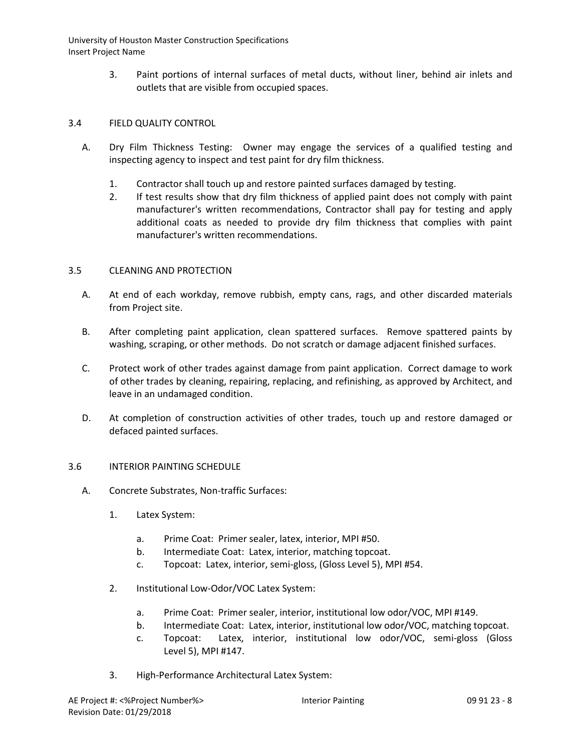> 3. Paint portions of internal surfaces of metal ducts, without liner, behind air inlets and outlets that are visible from occupied spaces.

# 3.4 FIELD QUALITY CONTROL

- A. Dry Film Thickness Testing: Owner may engage the services of a qualified testing and inspecting agency to inspect and test paint for dry film thickness.
	- 1. Contractor shall touch up and restore painted surfaces damaged by testing.
	- 2. If test results show that dry film thickness of applied paint does not comply with paint manufacturer's written recommendations, Contractor shall pay for testing and apply additional coats as needed to provide dry film thickness that complies with paint manufacturer's written recommendations.

# 3.5 CLEANING AND PROTECTION

- A. At end of each workday, remove rubbish, empty cans, rags, and other discarded materials from Project site.
- B. After completing paint application, clean spattered surfaces. Remove spattered paints by washing, scraping, or other methods. Do not scratch or damage adjacent finished surfaces.
- C. Protect work of other trades against damage from paint application. Correct damage to work of other trades by cleaning, repairing, replacing, and refinishing, as approved by Architect, and leave in an undamaged condition.
- D. At completion of construction activities of other trades, touch up and restore damaged or defaced painted surfaces.

# 3.6 INTERIOR PAINTING SCHEDULE

- A. Concrete Substrates, Non-traffic Surfaces:
	- 1. Latex System:
		- a. Prime Coat: Primer sealer, latex, interior, MPI #50.
		- b. Intermediate Coat: Latex, interior, matching topcoat.
		- c. Topcoat: Latex, interior, semi-gloss, (Gloss Level 5), MPI #54.
	- 2. Institutional Low-Odor/VOC Latex System:
		- a. Prime Coat: Primer sealer, interior, institutional low odor/VOC, MPI #149.
		- b. Intermediate Coat: Latex, interior, institutional low odor/VOC, matching topcoat.
		- c. Topcoat: Latex, interior, institutional low odor/VOC, semi-gloss (Gloss Level 5), MPI #147.
	- 3. High-Performance Architectural Latex System: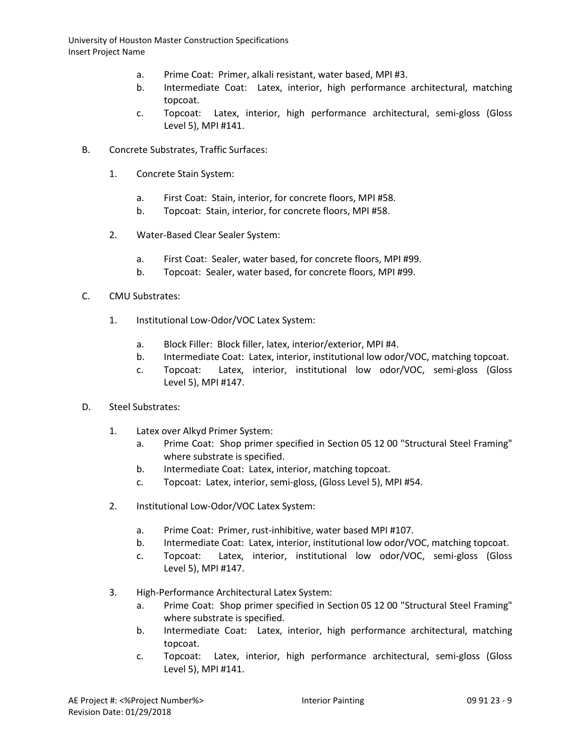- a. Prime Coat: Primer, alkali resistant, water based, MPI #3.
- b. Intermediate Coat: Latex, interior, high performance architectural, matching topcoat.
- c. Topcoat: Latex, interior, high performance architectural, semi-gloss (Gloss Level 5), MPI #141.
- B. Concrete Substrates, Traffic Surfaces:
	- 1. Concrete Stain System:
		- a. First Coat: Stain, interior, for concrete floors, MPI #58.
		- b. Topcoat: Stain, interior, for concrete floors, MPI #58.
	- 2. Water-Based Clear Sealer System:
		- a. First Coat: Sealer, water based, for concrete floors, MPI #99.
		- b. Topcoat: Sealer, water based, for concrete floors, MPI #99.
- C. CMU Substrates:
	- 1. Institutional Low-Odor/VOC Latex System:
		- a. Block Filler: Block filler, latex, interior/exterior, MPI #4.
		- b. Intermediate Coat: Latex, interior, institutional low odor/VOC, matching topcoat.
		- c. Topcoat: Latex, interior, institutional low odor/VOC, semi-gloss (Gloss Level 5), MPI #147.
- D. Steel Substrates:
	- 1. Latex over Alkyd Primer System:
		- a. Prime Coat: Shop primer specified in Section 05 12 00 "Structural Steel Framing" where substrate is specified.
		- b. Intermediate Coat: Latex, interior, matching topcoat.
		- c. Topcoat: Latex, interior, semi-gloss, (Gloss Level 5), MPI #54.
	- 2. Institutional Low-Odor/VOC Latex System:
		- a. Prime Coat: Primer, rust-inhibitive, water based MPI #107.
		- b. Intermediate Coat: Latex, interior, institutional low odor/VOC, matching topcoat.
		- c. Topcoat: Latex, interior, institutional low odor/VOC, semi-gloss (Gloss Level 5), MPI #147.
	- 3. High-Performance Architectural Latex System:
		- a. Prime Coat: Shop primer specified in Section 05 12 00 "Structural Steel Framing" where substrate is specified.
		- b. Intermediate Coat: Latex, interior, high performance architectural, matching topcoat.
		- c. Topcoat: Latex, interior, high performance architectural, semi-gloss (Gloss Level 5), MPI #141.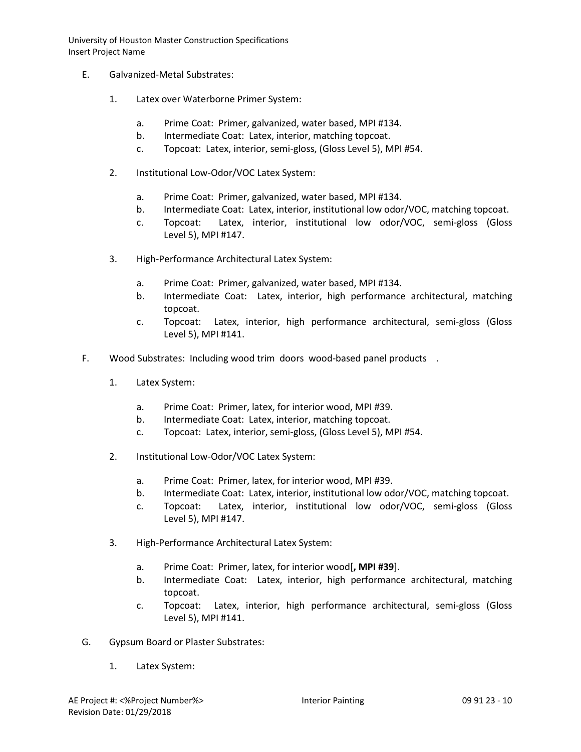- E. Galvanized-Metal Substrates:
	- 1. Latex over Waterborne Primer System:
		- a. Prime Coat: Primer, galvanized, water based, MPI #134.
		- b. Intermediate Coat: Latex, interior, matching topcoat.
		- c. Topcoat: Latex, interior, semi-gloss, (Gloss Level 5), MPI #54.
	- 2. Institutional Low-Odor/VOC Latex System:
		- a. Prime Coat: Primer, galvanized, water based, MPI #134.
		- b. Intermediate Coat: Latex, interior, institutional low odor/VOC, matching topcoat.
		- c. Topcoat: Latex, interior, institutional low odor/VOC, semi-gloss (Gloss Level 5), MPI #147.
	- 3. High-Performance Architectural Latex System:
		- a. Prime Coat: Primer, galvanized, water based, MPI #134.
		- b. Intermediate Coat: Latex, interior, high performance architectural, matching topcoat.
		- c. Topcoat: Latex, interior, high performance architectural, semi-gloss (Gloss Level 5), MPI #141.
- F. Wood Substrates: Including wood trim doors wood-based panel products .
	- 1. Latex System:
		- a. Prime Coat: Primer, latex, for interior wood, MPI #39.
		- b. Intermediate Coat: Latex, interior, matching topcoat.
		- c. Topcoat: Latex, interior, semi-gloss, (Gloss Level 5), MPI #54.
	- 2. Institutional Low-Odor/VOC Latex System:
		- a. Prime Coat: Primer, latex, for interior wood, MPI #39.
		- b. Intermediate Coat: Latex, interior, institutional low odor/VOC, matching topcoat.
		- c. Topcoat: Latex, interior, institutional low odor/VOC, semi-gloss (Gloss Level 5), MPI #147.
	- 3. High-Performance Architectural Latex System:
		- a. Prime Coat: Primer, latex, for interior wood[**, MPI #39**].
		- b. Intermediate Coat: Latex, interior, high performance architectural, matching topcoat.
		- c. Topcoat: Latex, interior, high performance architectural, semi-gloss (Gloss Level 5), MPI #141.
- G. Gypsum Board or Plaster Substrates:
	- 1. Latex System: